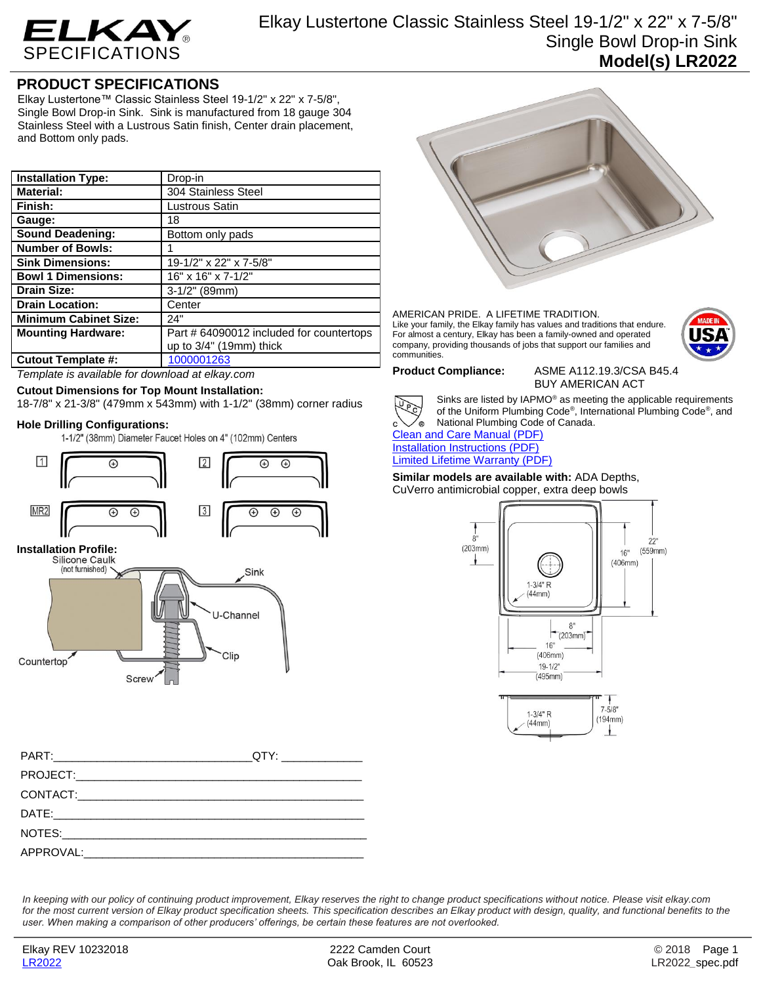

Elkay Lustertone Classic Stainless Steel 19-1/2" x 22" x 7-5/8" Single Bowl Drop-in Sink **Model(s) LR2022**

## **PRODUCT SPECIFICATIONS**

Elkay Lustertone™ Classic Stainless Steel 19-1/2" x 22" x 7-5/8", Single Bowl Drop-in Sink. Sink is manufactured from 18 gauge 304 Stainless Steel with a Lustrous Satin finish, Center drain placement, and Bottom only pads.

| <b>Installation Type:</b>    | Drop-in                                  |
|------------------------------|------------------------------------------|
| <b>Material:</b>             | 304 Stainless Steel                      |
| Finish:                      | Lustrous Satin                           |
| Gauge:                       | 18                                       |
| <b>Sound Deadening:</b>      | Bottom only pads                         |
| <b>Number of Bowls:</b>      |                                          |
| <b>Sink Dimensions:</b>      | 19-1/2" x 22" x 7-5/8"                   |
| <b>Bowl 1 Dimensions:</b>    | 16" x 16" x 7-1/2"                       |
| <b>Drain Size:</b>           | $3-1/2$ " (89mm)                         |
| <b>Drain Location:</b>       | Center                                   |
| <b>Minimum Cabinet Size:</b> | 24"                                      |
| <b>Mounting Hardware:</b>    | Part # 64090012 included for countertops |
|                              | up to $3/4$ " (19mm) thick               |
| <b>Cutout Template #:</b>    | 1000001263                               |

*Template is available for download at elkay.com*

### **Cutout Dimensions for Top Mount Installation:**

18-7/8" x 21-3/8" (479mm x 543mm) with 1-1/2" (38mm) corner radius

**Hole Drilling Configurations:**



| QTY:________________ |
|----------------------|
|                      |
|                      |
|                      |
|                      |
|                      |

AMERICAN PRIDE. A LIFETIME TRADITION. Like your family, the Elkay family has values and traditions that endure. For almost a century, Elkay has been a family-owned and operated company, providing thousands of jobs that support our families and communities.



**Product Compliance:** ASME A112.19.3/CSA B45.4 BUY AMERICAN ACT



Sinks are listed by IAPMO® as meeting the applicable requirements of the Uniform Plumbing Code® , International Plumbing Code® , and National Plumbing Code of Canada.

[Clean and Care Manual \(PDF\)](http://www.elkay.com/wcsstore/lkdocs/care-cleaning-install-warranty-sheets/residential%20and%20commercial%20care%20%20cleaning.pdf) [Installation Instructions \(PDF\)](http://www.elkay.com/wcsstore/lkdocs/care-cleaning-install-warranty-sheets/74180147.pdf) [Limited Lifetime Warranty](http://www.elkay.com/wcsstore/lkdocs/care-cleaning-install-warranty-sheets/residential%20sinks%20warranty.pdf) (PDF)

**Similar models are available with:** ADA Depths, CuVerro antimicrobial copper, extra deep bowls



⊥

 $(44mm)$ 

*In keeping with our policy of continuing product improvement, Elkay reserves the right to change product specifications without notice. Please visit elkay.com*  for the most current version of Elkay product specification sheets. This specification describes an Elkay product with design, quality, and functional benefits to the *user. When making a comparison of other producers' offerings, be certain these features are not overlooked.*